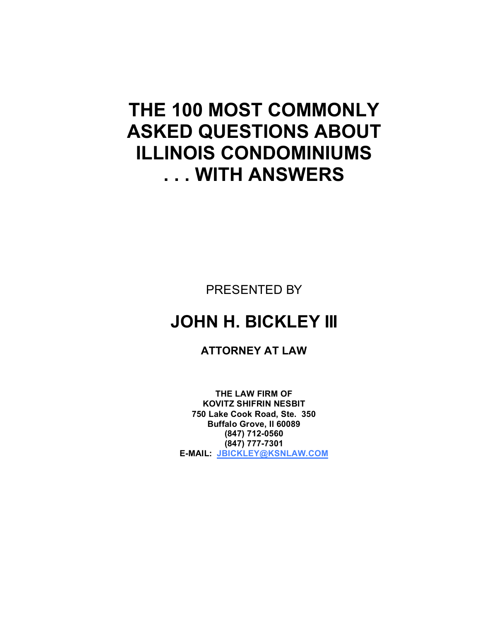# **THE 100 MOST COMMONLY ASKED QUESTIONS ABOUT ILLINOIS CONDOMINIUMS . . . WITH ANSWERS**

PRESENTED BY

## **JOHN H. BICKLEY III**

**ATTORNEY AT LAW**

**THE LAW FIRM OF KOVITZ SHIFRIN NESBIT 750 Lake Cook Road, Ste. 350 Buffalo Grove, Il 60089 (847) 712-0560 (847) 777-7301 E-MAIL: JBICKLEY@KSNLAW.COM**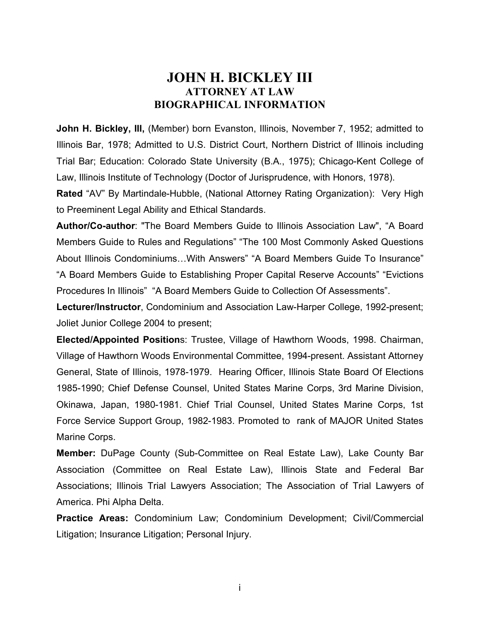#### **JOHN H. BICKLEY III ATTORNEY AT LAW BIOGRAPHICAL INFORMATION**

**John H. Bickley, III, (Member) born Evanston, Illinois, November 7, 1952; admitted to** Illinois Bar, 1978; Admitted to U.S. District Court, Northern District of Illinois including Trial Bar; Education: Colorado State University (B.A., 1975); Chicago-Kent College of Law, Illinois Institute of Technology (Doctor of Jurisprudence, with Honors, 1978).

**Rated** "AV" By Martindale-Hubble, (National Attorney Rating Organization): Very High to Preeminent Legal Ability and Ethical Standards.

**Author/Co-author**: "The Board Members Guide to Illinois Association Law", "A Board Members Guide to Rules and Regulations" "The 100 Most Commonly Asked Questions About Illinois Condominiums…With Answers" "A Board Members Guide To Insurance" "A Board Members Guide to Establishing Proper Capital Reserve Accounts" "Evictions Procedures In Illinois" "A Board Members Guide to Collection Of Assessments".

**Lecturer/Instructor**, Condominium and Association Law-Harper College, 1992-present; Joliet Junior College 2004 to present;

**Elected/Appointed Position**s: Trustee, Village of Hawthorn Woods, 1998. Chairman, Village of Hawthorn Woods Environmental Committee, 1994-present. Assistant Attorney General, State of Illinois, 1978-1979. Hearing Officer, Illinois State Board Of Elections 1985-1990; Chief Defense Counsel, United States Marine Corps, 3rd Marine Division, Okinawa, Japan, 1980-1981. Chief Trial Counsel, United States Marine Corps, 1st Force Service Support Group, 1982-1983. Promoted to rank of MAJOR United States Marine Corps.

**Member:** DuPage County (Sub-Committee on Real Estate Law), Lake County Bar Association (Committee on Real Estate Law), Illinois State and Federal Bar Associations; Illinois Trial Lawyers Association; The Association of Trial Lawyers of America. Phi Alpha Delta.

**Practice Areas:** Condominium Law; Condominium Development; Civil/Commercial Litigation; Insurance Litigation; Personal Injury.

i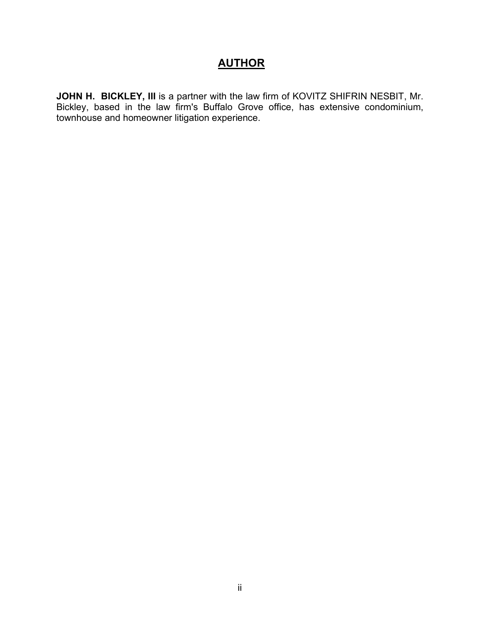### **AUTHOR**

**JOHN H. BICKLEY, III** is a partner with the law firm of KOVITZ SHIFRIN NESBIT, Mr. Bickley, based in the law firm's Buffalo Grove office, has extensive condominium, townhouse and homeowner litigation experience.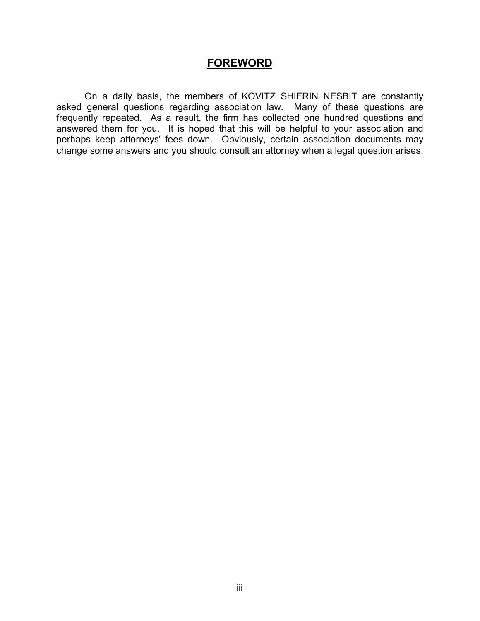#### **FOREWORD**

On a daily basis, the members of KOVITZ SHIFRIN NESBIT are constantly asked general questions regarding association law. Many of these questions are frequently repeated. As a result, the firm has collected one hundred questions and answered them for you. It is hoped that this will be helpful to your association and perhaps keep attorneys' fees down. Obviously, certain association documents may change some answers and you should consult an attorney when a legal question arises.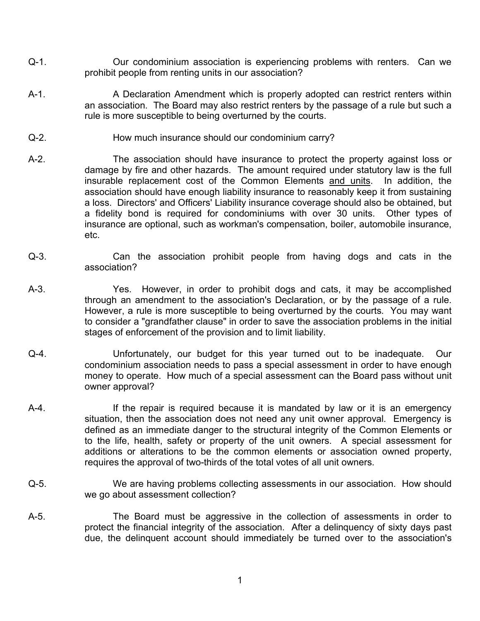- Q-1. Our condominium association is experiencing problems with renters. Can we prohibit people from renting units in our association?
- A-1. A Declaration Amendment which is properly adopted can restrict renters within an association. The Board may also restrict renters by the passage of a rule but such a rule is more susceptible to being overturned by the courts.
- Q-2. How much insurance should our condominium carry?
- A-2. The association should have insurance to protect the property against loss or damage by fire and other hazards. The amount required under statutory law is the full insurable replacement cost of the Common Elements and units. In addition, the association should have enough liability insurance to reasonably keep it from sustaining a loss. Directors' and Officers' Liability insurance coverage should also be obtained, but a fidelity bond is required for condominiums with over 30 units. Other types of insurance are optional, such as workman's compensation, boiler, automobile insurance, etc.
- Q-3. Can the association prohibit people from having dogs and cats in the association?
- A-3. Yes. However, in order to prohibit dogs and cats, it may be accomplished through an amendment to the association's Declaration, or by the passage of a rule. However, a rule is more susceptible to being overturned by the courts. You may want to consider a "grandfather clause" in order to save the association problems in the initial stages of enforcement of the provision and to limit liability.
- Q-4. Unfortunately, our budget for this year turned out to be inadequate. Our condominium association needs to pass a special assessment in order to have enough money to operate. How much of a special assessment can the Board pass without unit owner approval?
- A-4. If the repair is required because it is mandated by law or it is an emergency situation, then the association does not need any unit owner approval. Emergency is defined as an immediate danger to the structural integrity of the Common Elements or to the life, health, safety or property of the unit owners. A special assessment for additions or alterations to be the common elements or association owned property, requires the approval of two-thirds of the total votes of all unit owners.
- Q-5. We are having problems collecting assessments in our association. How should we go about assessment collection?
- A-5. The Board must be aggressive in the collection of assessments in order to protect the financial integrity of the association. After a delinquency of sixty days past due, the delinquent account should immediately be turned over to the association's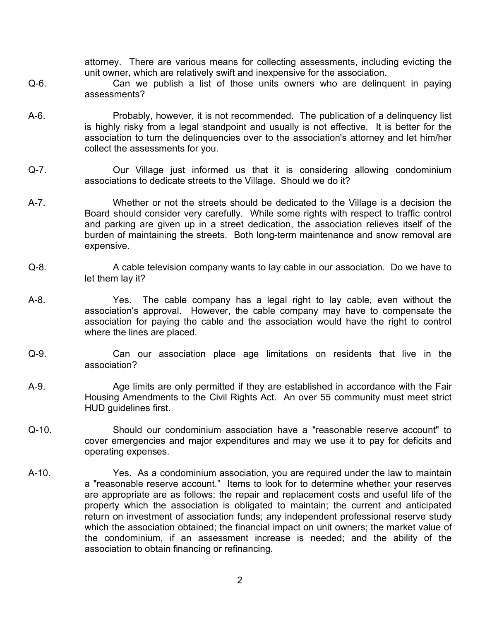attorney. There are various means for collecting assessments, including evicting the unit owner, which are relatively swift and inexpensive for the association.

- Q-6. Can we publish a list of those units owners who are delinquent in paying assessments?
- A-6. Probably, however, it is not recommended. The publication of a delinquency list is highly risky from a legal standpoint and usually is not effective. It is better for the association to turn the delinquencies over to the association's attorney and let him/her collect the assessments for you.
- Q-7. Our Village just informed us that it is considering allowing condominium associations to dedicate streets to the Village. Should we do it?
- A-7. Whether or not the streets should be dedicated to the Village is a decision the Board should consider very carefully. While some rights with respect to traffic control and parking are given up in a street dedication, the association relieves itself of the burden of maintaining the streets. Both long-term maintenance and snow removal are expensive.
- Q-8. A cable television company wants to lay cable in our association. Do we have to let them lay it?
- A-8. Yes. The cable company has a legal right to lay cable, even without the association's approval. However, the cable company may have to compensate the association for paying the cable and the association would have the right to control where the lines are placed.
- Q-9. Can our association place age limitations on residents that live in the association?
- A-9. Age limits are only permitted if they are established in accordance with the Fair Housing Amendments to the Civil Rights Act. An over 55 community must meet strict HUD guidelines first.
- Q-10. Should our condominium association have a "reasonable reserve account" to cover emergencies and major expenditures and may we use it to pay for deficits and operating expenses.
- A-10. Yes. As a condominium association, you are required under the law to maintain a "reasonable reserve account." Items to look for to determine whether your reserves are appropriate are as follows: the repair and replacement costs and useful life of the property which the association is obligated to maintain; the current and anticipated return on investment of association funds; any independent professional reserve study which the association obtained; the financial impact on unit owners; the market value of the condominium, if an assessment increase is needed; and the ability of the association to obtain financing or refinancing.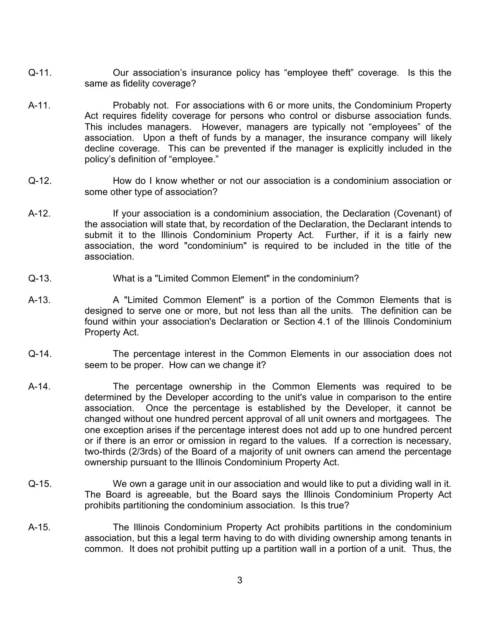- Q-11. Our association's insurance policy has "employee theft" coverage. Is this the same as fidelity coverage?
- A-11. Probably not. For associations with 6 or more units, the Condominium Property Act requires fidelity coverage for persons who control or disburse association funds. This includes managers. However, managers are typically not "employees" of the association. Upon a theft of funds by a manager, the insurance company will likely decline coverage. This can be prevented if the manager is explicitly included in the policy's definition of "employee."
- Q-12. How do I know whether or not our association is a condominium association or some other type of association?
- A-12. If your association is a condominium association, the Declaration (Covenant) of the association will state that, by recordation of the Declaration, the Declarant intends to submit it to the Illinois Condominium Property Act. Further, if it is a fairly new association, the word "condominium" is required to be included in the title of the association.
- Q-13. What is a "Limited Common Element" in the condominium?
- A-13. A "Limited Common Element" is a portion of the Common Elements that is designed to serve one or more, but not less than all the units. The definition can be found within your association's Declaration or Section 4.1 of the Illinois Condominium Property Act.
- Q-14. The percentage interest in the Common Elements in our association does not seem to be proper. How can we change it?
- A-14. The percentage ownership in the Common Elements was required to be determined by the Developer according to the unit's value in comparison to the entire association. Once the percentage is established by the Developer, it cannot be changed without one hundred percent approval of all unit owners and mortgagees. The one exception arises if the percentage interest does not add up to one hundred percent or if there is an error or omission in regard to the values. If a correction is necessary, two-thirds (2/3rds) of the Board of a majority of unit owners can amend the percentage ownership pursuant to the Illinois Condominium Property Act.
- Q-15. We own a garage unit in our association and would like to put a dividing wall in it. The Board is agreeable, but the Board says the Illinois Condominium Property Act prohibits partitioning the condominium association. Is this true?
- A-15. The Illinois Condominium Property Act prohibits partitions in the condominium association, but this a legal term having to do with dividing ownership among tenants in common. It does not prohibit putting up a partition wall in a portion of a unit. Thus, the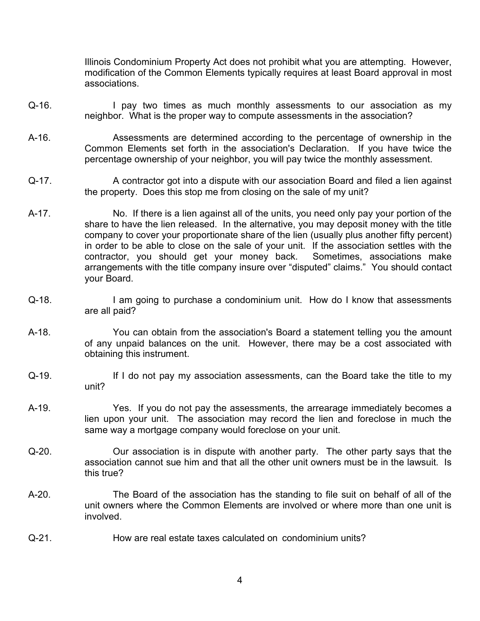Illinois Condominium Property Act does not prohibit what you are attempting. However, modification of the Common Elements typically requires at least Board approval in most associations.

- Q-16. I pay two times as much monthly assessments to our association as my neighbor. What is the proper way to compute assessments in the association?
- A-16. Assessments are determined according to the percentage of ownership in the Common Elements set forth in the association's Declaration. If you have twice the percentage ownership of your neighbor, you will pay twice the monthly assessment.
- Q-17. A contractor got into a dispute with our association Board and filed a lien against the property. Does this stop me from closing on the sale of my unit?
- A-17. No. If there is a lien against all of the units, you need only pay your portion of the share to have the lien released. In the alternative, you may deposit money with the title company to cover your proportionate share of the lien (usually plus another fifty percent) in order to be able to close on the sale of your unit. If the association settles with the contractor, you should get your money back. Sometimes, associations make arrangements with the title company insure over "disputed" claims." You should contact your Board.
- Q-18. I am going to purchase a condominium unit. How do I know that assessments are all paid?
- A-18. You can obtain from the association's Board a statement telling you the amount of any unpaid balances on the unit. However, there may be a cost associated with obtaining this instrument.
- Q-19. If I do not pay my association assessments, can the Board take the title to my unit?
- A-19. Yes. If you do not pay the assessments, the arrearage immediately becomes a lien upon your unit. The association may record the lien and foreclose in much the same way a mortgage company would foreclose on your unit.
- Q-20. Our association is in dispute with another party. The other party says that the association cannot sue him and that all the other unit owners must be in the lawsuit. Is this true?
- A-20. The Board of the association has the standing to file suit on behalf of all of the unit owners where the Common Elements are involved or where more than one unit is involved.
- Q-21. How are real estate taxes calculated on condominium units?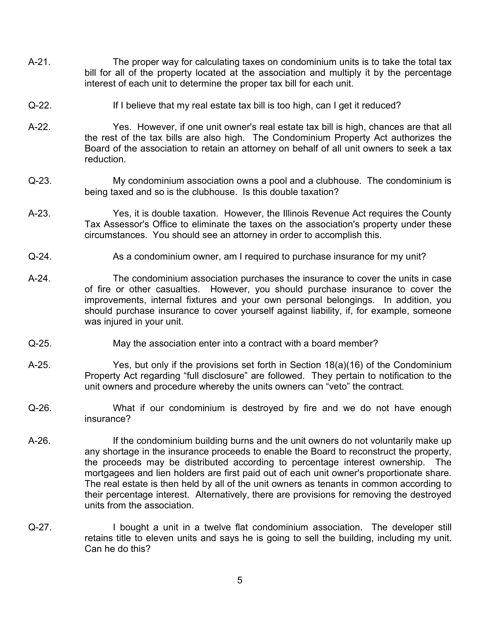- A-21. The proper way for calculating taxes on condominium units is to take the total tax bill for all of the property located at the association and multiply it by the percentage interest of each unit to determine the proper tax bill for each unit.
- Q-22. If I believe that my real estate tax bill is too high, can I get it reduced?
- A-22. Yes. However, if one unit owner's real estate tax bill is high, chances are that all the rest of the tax bills are also high. The Condominium Property Act authorizes the Board of the association to retain an attorney on behalf of all unit owners to seek a tax reduction.
- Q-23. My condominium association owns a pool and a clubhouse. The condominium is being taxed and so is the clubhouse. Is this double taxation?
- A-23. Yes, it is double taxation. However, the Illinois Revenue Act requires the County Tax Assessor's Office to eliminate the taxes on the association's property under these circumstances. You should see an attorney in order to accomplish this.
- Q-24. As a condominium owner, am I required to purchase insurance for my unit?
- A-24. The condominium association purchases the insurance to cover the units in case of fire or other casualties. However, you should purchase insurance to cover the improvements, internal fixtures and your own personal belongings. In addition, you should purchase insurance to cover yourself against liability, if, for example, someone was injured in your unit.
- Q-25. May the association enter into a contract with a board member?
- A-25. Yes, but only if the provisions set forth in Section 18(a)(16) of the Condominium Property Act regarding "full disclosure" are followed. They pertain to notification to the unit owners and procedure whereby the units owners can "veto" the contract.
- Q-26. What if our condominium is destroyed by fire and we do not have enough insurance?
- A-26. If the condominium building burns and the unit owners do not voluntarily make up any shortage in the insurance proceeds to enable the Board to reconstruct the property, the proceeds may be distributed according to percentage interest ownership. The mortgagees and lien holders are first paid out of each unit owner's proportionate share. The real estate is then held by all of the unit owners as tenants in common according to their percentage interest. Alternatively, there are provisions for removing the destroyed units from the association.
- Q-27. I bought a unit in a twelve flat condominium association. The developer still retains title to eleven units and says he is going to sell the building, including my unit. Can he do this?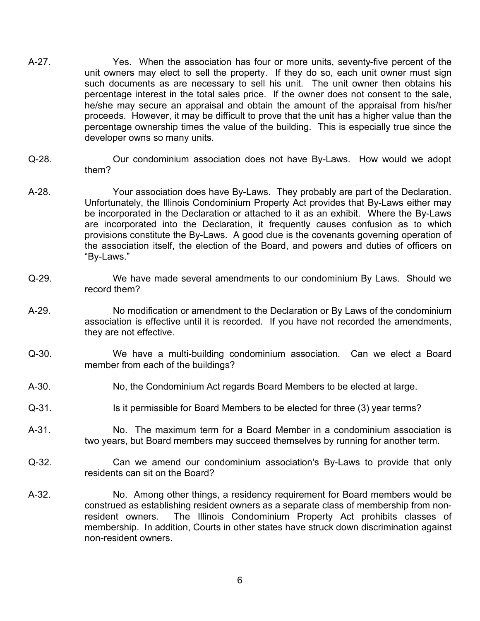- A-27. Yes. When the association has four or more units, seventy-five percent of the unit owners may elect to sell the property. If they do so, each unit owner must sign such documents as are necessary to sell his unit. The unit owner then obtains his percentage interest in the total sales price. If the owner does not consent to the sale, he/she may secure an appraisal and obtain the amount of the appraisal from his/her proceeds. However, it may be difficult to prove that the unit has a higher value than the percentage ownership times the value of the building. This is especially true since the developer owns so many units.
- Q-28. Our condominium association does not have By-Laws. How would we adopt them?
- A-28. Your association does have By-Laws. They probably are part of the Declaration. Unfortunately, the Illinois Condominium Property Act provides that By-Laws either may be incorporated in the Declaration or attached to it as an exhibit. Where the By-Laws are incorporated into the Declaration, it frequently causes confusion as to which provisions constitute the By-Laws. A good clue is the covenants governing operation of the association itself, the election of the Board, and powers and duties of officers on "By-Laws."
- Q-29. We have made several amendments to our condominium By Laws. Should we record them?
- A-29. No modification or amendment to the Declaration or By Laws of the condominium association is effective until it is recorded. If you have not recorded the amendments, they are not effective.
- Q-30. We have a multi-building condominium association. Can we elect a Board member from each of the buildings?
- A-30. No, the Condominium Act regards Board Members to be elected at large.
- Q-31. Is it permissible for Board Members to be elected for three (3) year terms?
- A-31. No. The maximum term for a Board Member in a condominium association is two years, but Board members may succeed themselves by running for another term.
- Q-32. Can we amend our condominium association's By-Laws to provide that only residents can sit on the Board?
- A-32. No. Among other things, a residency requirement for Board members would be construed as establishing resident owners as a separate class of membership from nonresident owners. The Illinois Condominium Property Act prohibits classes of membership. In addition, Courts in other states have struck down discrimination against non-resident owners.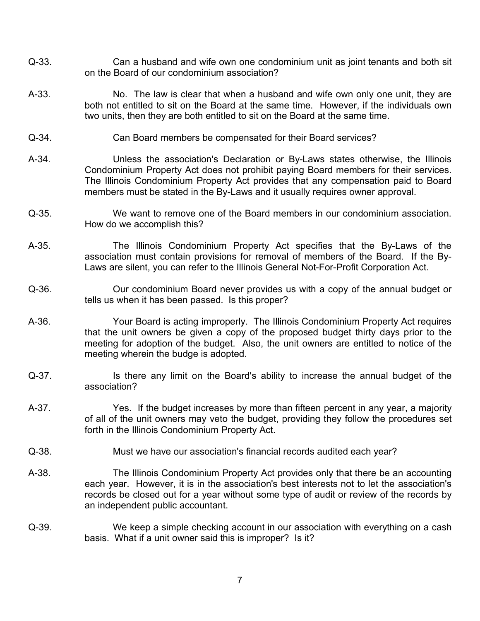- Q-33. Can a husband and wife own one condominium unit as joint tenants and both sit on the Board of our condominium association?
- A-33. No. The law is clear that when a husband and wife own only one unit, they are both not entitled to sit on the Board at the same time. However, if the individuals own two units, then they are both entitled to sit on the Board at the same time.
- Q-34. Can Board members be compensated for their Board services?
- A-34. Unless the association's Declaration or By-Laws states otherwise, the Illinois Condominium Property Act does not prohibit paying Board members for their services. The Illinois Condominium Property Act provides that any compensation paid to Board members must be stated in the By-Laws and it usually requires owner approval.
- Q-35. We want to remove one of the Board members in our condominium association. How do we accomplish this?
- A-35. The Illinois Condominium Property Act specifies that the By-Laws of the association must contain provisions for removal of members of the Board. If the By-Laws are silent, you can refer to the Illinois General Not-For-Profit Corporation Act.
- Q-36. Our condominium Board never provides us with a copy of the annual budget or tells us when it has been passed. Is this proper?
- A-36. Your Board is acting improperly. The Illinois Condominium Property Act requires that the unit owners be given a copy of the proposed budget thirty days prior to the meeting for adoption of the budget. Also, the unit owners are entitled to notice of the meeting wherein the budge is adopted.
- Q-37. Is there any limit on the Board's ability to increase the annual budget of the association?
- A-37. Yes. If the budget increases by more than fifteen percent in any year, a majority of all of the unit owners may veto the budget, providing they follow the procedures set forth in the Illinois Condominium Property Act.
- Q-38. Must we have our association's financial records audited each year?
- A-38. The Illinois Condominium Property Act provides only that there be an accounting each year. However, it is in the association's best interests not to let the association's records be closed out for a year without some type of audit or review of the records by an independent public accountant.
- Q-39. We keep a simple checking account in our association with everything on a cash basis. What if a unit owner said this is improper? Is it?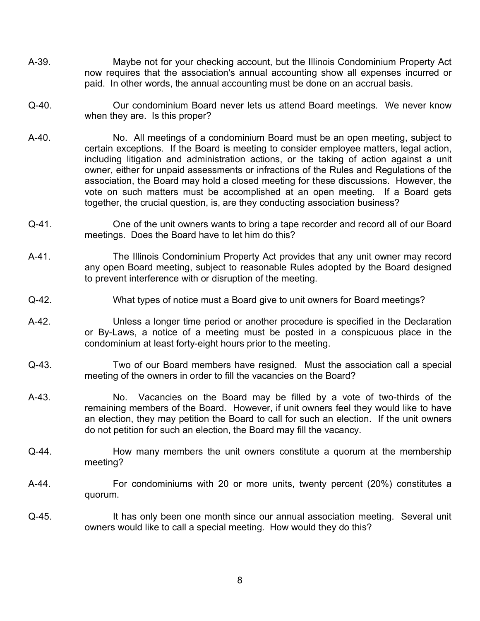- A-39. Maybe not for your checking account, but the Illinois Condominium Property Act now requires that the association's annual accounting show all expenses incurred or paid. In other words, the annual accounting must be done on an accrual basis.
- Q-40. Our condominium Board never lets us attend Board meetings. We never know when they are. Is this proper?
- A-40. No. All meetings of a condominium Board must be an open meeting, subject to certain exceptions. If the Board is meeting to consider employee matters, legal action, including litigation and administration actions, or the taking of action against a unit owner, either for unpaid assessments or infractions of the Rules and Regulations of the association, the Board may hold a closed meeting for these discussions. However, the vote on such matters must be accomplished at an open meeting. If a Board gets together, the crucial question, is, are they conducting association business?
- Q-41. One of the unit owners wants to bring a tape recorder and record all of our Board meetings. Does the Board have to let him do this?
- A-41. The Illinois Condominium Property Act provides that any unit owner may record any open Board meeting, subject to reasonable Rules adopted by the Board designed to prevent interference with or disruption of the meeting.
- Q-42. What types of notice must a Board give to unit owners for Board meetings?
- A-42. Unless a longer time period or another procedure is specified in the Declaration or By-Laws, a notice of a meeting must be posted in a conspicuous place in the condominium at least forty-eight hours prior to the meeting.
- Q-43. Two of our Board members have resigned. Must the association call a special meeting of the owners in order to fill the vacancies on the Board?
- A-43. No. Vacancies on the Board may be filled by a vote of two-thirds of the remaining members of the Board. However, if unit owners feel they would like to have an election, they may petition the Board to call for such an election. If the unit owners do not petition for such an election, the Board may fill the vacancy.
- Q-44. How many members the unit owners constitute a quorum at the membership meeting?
- A-44. For condominiums with 20 or more units, twenty percent (20%) constitutes a quorum.
- Q-45. It has only been one month since our annual association meeting. Several unit owners would like to call a special meeting. How would they do this?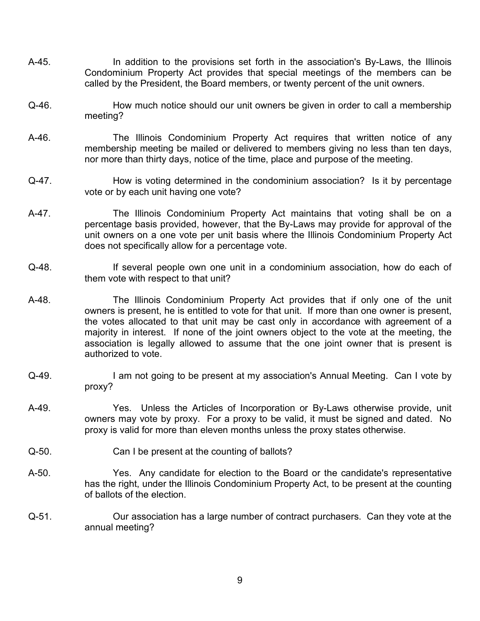- A-45. In addition to the provisions set forth in the association's By-Laws, the Illinois Condominium Property Act provides that special meetings of the members can be called by the President, the Board members, or twenty percent of the unit owners.
- Q-46. How much notice should our unit owners be given in order to call a membership meeting?
- A-46. The Illinois Condominium Property Act requires that written notice of any membership meeting be mailed or delivered to members giving no less than ten days, nor more than thirty days, notice of the time, place and purpose of the meeting.
- Q-47. How is voting determined in the condominium association? Is it by percentage vote or by each unit having one vote?
- A-47. The Illinois Condominium Property Act maintains that voting shall be on a percentage basis provided, however, that the By-Laws may provide for approval of the unit owners on a one vote per unit basis where the Illinois Condominium Property Act does not specifically allow for a percentage vote.
- Q-48. If several people own one unit in a condominium association, how do each of them vote with respect to that unit?
- A-48. The Illinois Condominium Property Act provides that if only one of the unit owners is present, he is entitled to vote for that unit. If more than one owner is present, the votes allocated to that unit may be cast only in accordance with agreement of a majority in interest. If none of the joint owners object to the vote at the meeting, the association is legally allowed to assume that the one joint owner that is present is authorized to vote.
- Q-49. I am not going to be present at my association's Annual Meeting. Can I vote by proxy?
- A-49. Yes. Unless the Articles of Incorporation or By-Laws otherwise provide, unit owners may vote by proxy. For a proxy to be valid, it must be signed and dated. No proxy is valid for more than eleven months unless the proxy states otherwise.
- Q-50. Can I be present at the counting of ballots?
- A-50. Yes. Any candidate for election to the Board or the candidate's representative has the right, under the Illinois Condominium Property Act, to be present at the counting of ballots of the election.
- Q-51. Our association has a large number of contract purchasers. Can they vote at the annual meeting?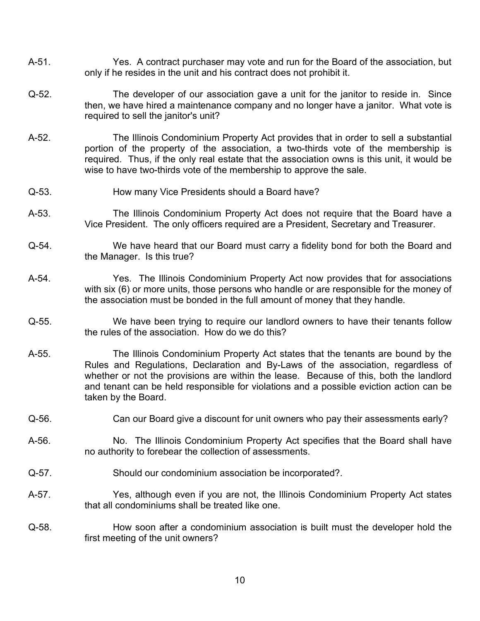- A-51. Yes. A contract purchaser may vote and run for the Board of the association, but only if he resides in the unit and his contract does not prohibit it.
- Q-52. The developer of our association gave a unit for the janitor to reside in. Since then, we have hired a maintenance company and no longer have a janitor. What vote is required to sell the janitor's unit?
- A-52. The Illinois Condominium Property Act provides that in order to sell a substantial portion of the property of the association, a two-thirds vote of the membership is required. Thus, if the only real estate that the association owns is this unit, it would be wise to have two-thirds vote of the membership to approve the sale.
- Q-53. How many Vice Presidents should a Board have?
- A-53. The Illinois Condominium Property Act does not require that the Board have a Vice President. The only officers required are a President, Secretary and Treasurer.
- Q-54. We have heard that our Board must carry a fidelity bond for both the Board and the Manager. Is this true?
- A-54. Yes. The Illinois Condominium Property Act now provides that for associations with six (6) or more units, those persons who handle or are responsible for the money of the association must be bonded in the full amount of money that they handle.
- Q-55. We have been trying to require our landlord owners to have their tenants follow the rules of the association. How do we do this?
- A-55. The Illinois Condominium Property Act states that the tenants are bound by the Rules and Regulations, Declaration and By-Laws of the association, regardless of whether or not the provisions are within the lease. Because of this, both the landlord and tenant can be held responsible for violations and a possible eviction action can be taken by the Board.
- Q-56. Can our Board give a discount for unit owners who pay their assessments early?
- A-56. No. The Illinois Condominium Property Act specifies that the Board shall have no authority to forebear the collection of assessments.
- Q-57. Should our condominium association be incorporated?.
- A-57. Yes, although even if you are not, the Illinois Condominium Property Act states that all condominiums shall be treated like one.
- Q-58. How soon after a condominium association is built must the developer hold the first meeting of the unit owners?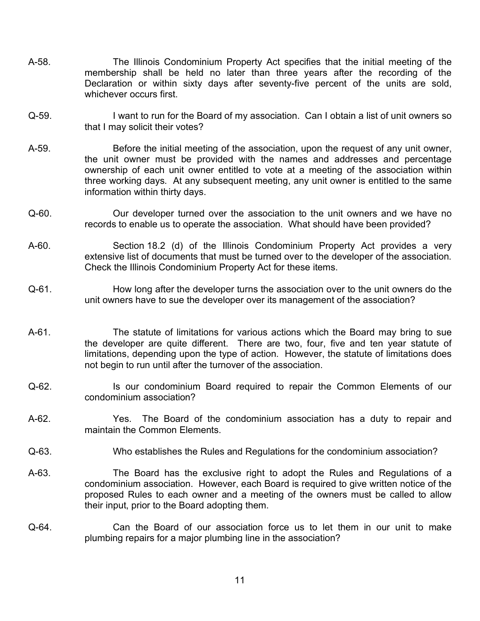- A-58. The Illinois Condominium Property Act specifies that the initial meeting of the membership shall be held no later than three years after the recording of the Declaration or within sixty days after seventy-five percent of the units are sold, whichever occurs first.
- Q-59. I want to run for the Board of my association. Can I obtain a list of unit owners so that I may solicit their votes?
- A-59. Before the initial meeting of the association, upon the request of any unit owner, the unit owner must be provided with the names and addresses and percentage ownership of each unit owner entitled to vote at a meeting of the association within three working days. At any subsequent meeting, any unit owner is entitled to the same information within thirty days.
- Q-60. Our developer turned over the association to the unit owners and we have no records to enable us to operate the association. What should have been provided?
- A-60. Section 18.2 (d) of the Illinois Condominium Property Act provides a very extensive list of documents that must be turned over to the developer of the association. Check the Illinois Condominium Property Act for these items.
- Q-61. How long after the developer turns the association over to the unit owners do the unit owners have to sue the developer over its management of the association?
- A-61. The statute of limitations for various actions which the Board may bring to sue the developer are quite different. There are two, four, five and ten year statute of limitations, depending upon the type of action. However, the statute of limitations does not begin to run until after the turnover of the association.
- Q-62. Is our condominium Board required to repair the Common Elements of our condominium association?
- A-62. Yes. The Board of the condominium association has a duty to repair and maintain the Common Elements.
- Q-63. Who establishes the Rules and Regulations for the condominium association?
- A-63. The Board has the exclusive right to adopt the Rules and Regulations of a condominium association. However, each Board is required to give written notice of the proposed Rules to each owner and a meeting of the owners must be called to allow their input, prior to the Board adopting them.
- Q-64. Can the Board of our association force us to let them in our unit to make plumbing repairs for a major plumbing line in the association?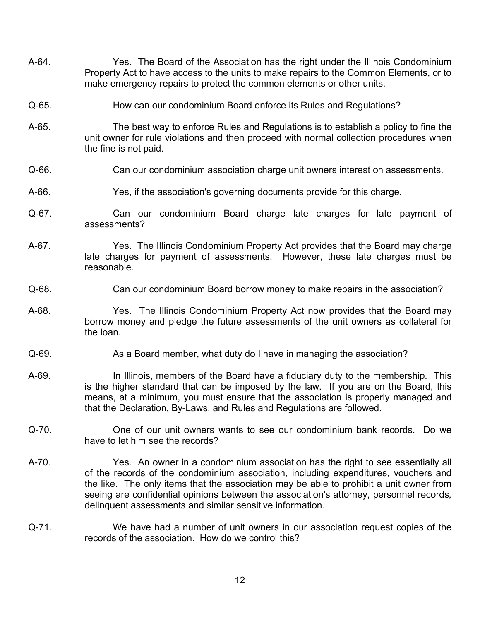- A-64. Yes. The Board of the Association has the right under the Illinois Condominium Property Act to have access to the units to make repairs to the Common Elements, or to make emergency repairs to protect the common elements or other units.
- Q-65. How can our condominium Board enforce its Rules and Regulations?
- A-65. The best way to enforce Rules and Regulations is to establish a policy to fine the unit owner for rule violations and then proceed with normal collection procedures when the fine is not paid.
- Q-66. Can our condominium association charge unit owners interest on assessments.
- A-66. Yes, if the association's governing documents provide for this charge.
- Q-67. Can our condominium Board charge late charges for late payment of assessments?
- A-67. Yes. The Illinois Condominium Property Act provides that the Board may charge late charges for payment of assessments. However, these late charges must be reasonable.
- Q-68. Can our condominium Board borrow money to make repairs in the association?
- A-68. Yes. The Illinois Condominium Property Act now provides that the Board may borrow money and pledge the future assessments of the unit owners as collateral for the loan.
- Q-69. As a Board member, what duty do I have in managing the association?
- A-69. In Illinois, members of the Board have a fiduciary duty to the membership. This is the higher standard that can be imposed by the law. If you are on the Board, this means, at a minimum, you must ensure that the association is properly managed and that the Declaration, By-Laws, and Rules and Regulations are followed.
- Q-70. One of our unit owners wants to see our condominium bank records. Do we have to let him see the records?
- A-70. Yes. An owner in a condominium association has the right to see essentially all of the records of the condominium association, including expenditures, vouchers and the like. The only items that the association may be able to prohibit a unit owner from seeing are confidential opinions between the association's attorney, personnel records, delinquent assessments and similar sensitive information.
- Q-71. We have had a number of unit owners in our association request copies of the records of the association. How do we control this?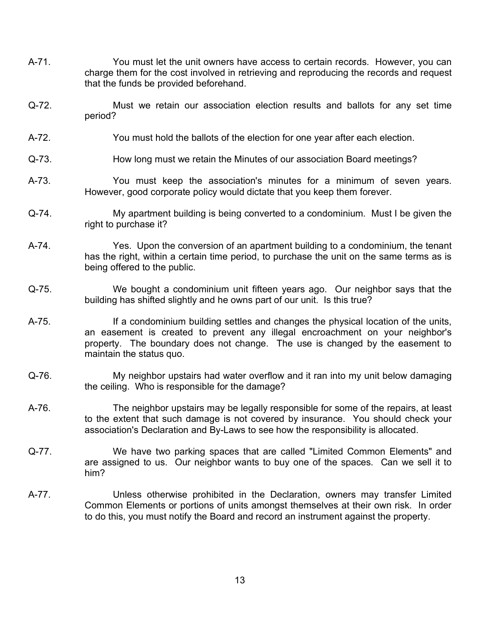- A-71. You must let the unit owners have access to certain records. However, you can charge them for the cost involved in retrieving and reproducing the records and request that the funds be provided beforehand.
- Q-72. Must we retain our association election results and ballots for any set time period?
- A-72. You must hold the ballots of the election for one year after each election.
- Q-73. How long must we retain the Minutes of our association Board meetings?
- A-73. You must keep the association's minutes for a minimum of seven years. However, good corporate policy would dictate that you keep them forever.
- Q-74. My apartment building is being converted to a condominium. Must I be given the right to purchase it?
- A-74. Yes. Upon the conversion of an apartment building to a condominium, the tenant has the right, within a certain time period, to purchase the unit on the same terms as is being offered to the public.
- Q-75. We bought a condominium unit fifteen years ago. Our neighbor says that the building has shifted slightly and he owns part of our unit. Is this true?
- A-75. If a condominium building settles and changes the physical location of the units, an easement is created to prevent any illegal encroachment on your neighbor's property. The boundary does not change. The use is changed by the easement to maintain the status quo.
- Q-76. My neighbor upstairs had water overflow and it ran into my unit below damaging the ceiling. Who is responsible for the damage?
- A-76. The neighbor upstairs may be legally responsible for some of the repairs, at least to the extent that such damage is not covered by insurance. You should check your association's Declaration and By-Laws to see how the responsibility is allocated.
- Q-77. We have two parking spaces that are called "Limited Common Elements" and are assigned to us. Our neighbor wants to buy one of the spaces. Can we sell it to him?
- A-77. Unless otherwise prohibited in the Declaration, owners may transfer Limited Common Elements or portions of units amongst themselves at their own risk. In order to do this, you must notify the Board and record an instrument against the property.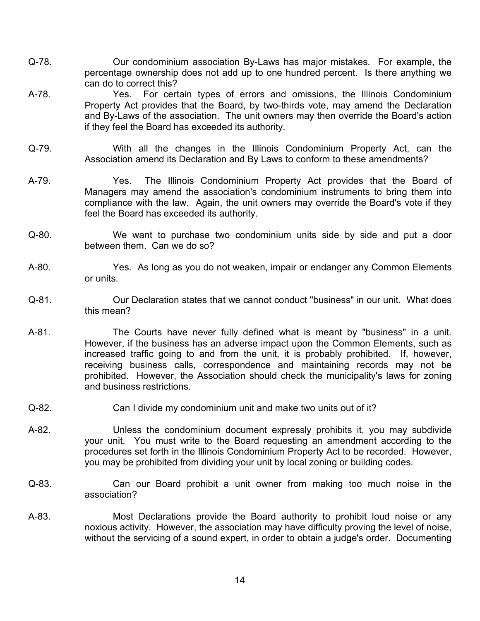- Q-78. Our condominium association By-Laws has major mistakes. For example, the percentage ownership does not add up to one hundred percent. Is there anything we can do to correct this?
- A-78. Yes. For certain types of errors and omissions, the Illinois Condominium Property Act provides that the Board, by two-thirds vote, may amend the Declaration and By-Laws of the association. The unit owners may then override the Board's action if they feel the Board has exceeded its authority.
- Q-79. With all the changes in the Illinois Condominium Property Act, can the Association amend its Declaration and By Laws to conform to these amendments?
- A-79. Yes. The Illinois Condominium Property Act provides that the Board of Managers may amend the association's condominium instruments to bring them into compliance with the law. Again, the unit owners may override the Board's vote if they feel the Board has exceeded its authority.
- Q-80. We want to purchase two condominium units side by side and put a door between them. Can we do so?
- A-80. Yes. As long as you do not weaken, impair or endanger any Common Elements or units.
- Q-81. Our Declaration states that we cannot conduct "business" in our unit. What does this mean?
- A-81. The Courts have never fully defined what is meant by "business" in a unit. However, if the business has an adverse impact upon the Common Elements, such as increased traffic going to and from the unit, it is probably prohibited. If, however, receiving business calls, correspondence and maintaining records may not be prohibited. However, the Association should check the municipality's laws for zoning and business restrictions.
- Q-82. Can I divide my condominium unit and make two units out of it?
- A-82. Unless the condominium document expressly prohibits it, you may subdivide your unit. You must write to the Board requesting an amendment according to the procedures set forth in the Illinois Condominium Property Act to be recorded. However, you may be prohibited from dividing your unit by local zoning or building codes.
- Q-83. Can our Board prohibit a unit owner from making too much noise in the association?
- A-83. Most Declarations provide the Board authority to prohibit loud noise or any noxious activity. However, the association may have difficulty proving the level of noise, without the servicing of a sound expert, in order to obtain a judge's order. Documenting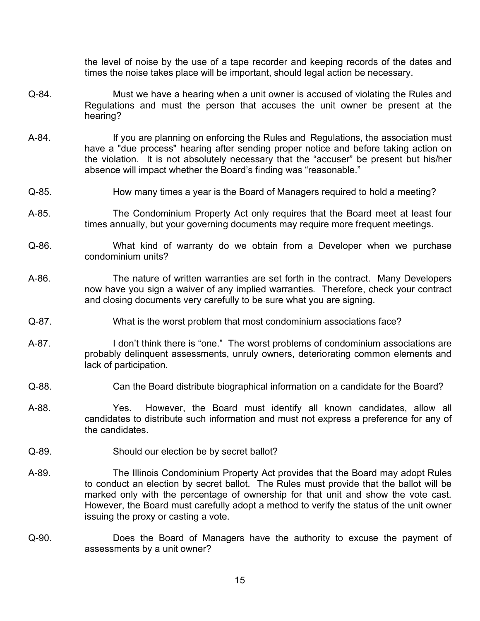the level of noise by the use of a tape recorder and keeping records of the dates and times the noise takes place will be important, should legal action be necessary.

- Q-84. Must we have a hearing when a unit owner is accused of violating the Rules and Regulations and must the person that accuses the unit owner be present at the hearing?
- A-84. If you are planning on enforcing the Rules and Regulations, the association must have a "due process" hearing after sending proper notice and before taking action on the violation. It is not absolutely necessary that the "accuser" be present but his/her absence will impact whether the Board's finding was "reasonable."
- Q-85. How many times a year is the Board of Managers required to hold a meeting?
- A-85. The Condominium Property Act only requires that the Board meet at least four times annually, but your governing documents may require more frequent meetings.
- Q-86. What kind of warranty do we obtain from a Developer when we purchase condominium units?
- A-86. The nature of written warranties are set forth in the contract. Many Developers now have you sign a waiver of any implied warranties. Therefore, check your contract and closing documents very carefully to be sure what you are signing.
- Q-87. What is the worst problem that most condominium associations face?
- A-87. I don't think there is "one." The worst problems of condominium associations are probably delinquent assessments, unruly owners, deteriorating common elements and lack of participation.
- Q-88. Can the Board distribute biographical information on a candidate for the Board?
- A-88. Yes. However, the Board must identify all known candidates, allow all candidates to distribute such information and must not express a preference for any of the candidates.
- Q-89. Should our election be by secret ballot?
- A-89. The Illinois Condominium Property Act provides that the Board may adopt Rules to conduct an election by secret ballot. The Rules must provide that the ballot will be marked only with the percentage of ownership for that unit and show the vote cast. However, the Board must carefully adopt a method to verify the status of the unit owner issuing the proxy or casting a vote.
- Q-90. Does the Board of Managers have the authority to excuse the payment of assessments by a unit owner?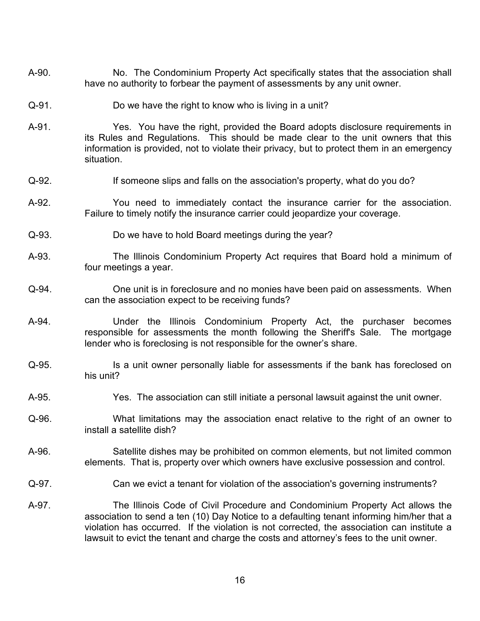- A-90. No. The Condominium Property Act specifically states that the association shall have no authority to forbear the payment of assessments by any unit owner.
- Q-91. Do we have the right to know who is living in a unit?
- A-91. Yes. You have the right, provided the Board adopts disclosure requirements in its Rules and Regulations. This should be made clear to the unit owners that this information is provided, not to violate their privacy, but to protect them in an emergency situation.
- Q-92. If someone slips and falls on the association's property, what do you do?
- A-92. You need to immediately contact the insurance carrier for the association. Failure to timely notify the insurance carrier could jeopardize your coverage.
- Q-93. Do we have to hold Board meetings during the year?
- A-93. The Illinois Condominium Property Act requires that Board hold a minimum of four meetings a year.
- Q-94. One unit is in foreclosure and no monies have been paid on assessments. When can the association expect to be receiving funds?
- A-94. Under the Illinois Condominium Property Act, the purchaser becomes responsible for assessments the month following the Sheriff's Sale. The mortgage lender who is foreclosing is not responsible for the owner's share.
- Q-95. Is a unit owner personally liable for assessments if the bank has foreclosed on his unit?
- A-95. Yes. The association can still initiate a personal lawsuit against the unit owner.
- Q-96. What limitations may the association enact relative to the right of an owner to install a satellite dish?
- A-96. Satellite dishes may be prohibited on common elements, but not limited common elements. That is, property over which owners have exclusive possession and control.
- Q-97. Can we evict a tenant for violation of the association's governing instruments?
- A-97. The Illinois Code of Civil Procedure and Condominium Property Act allows the association to send a ten (10) Day Notice to a defaulting tenant informing him/her that a violation has occurred. If the violation is not corrected, the association can institute a lawsuit to evict the tenant and charge the costs and attorney's fees to the unit owner.